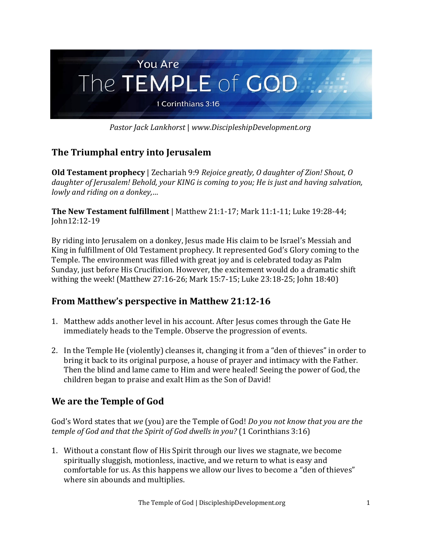

*Pastor Jack Lankhorst* | *www.DiscipleshipDevelopment.org*

## **The Triumphal entry into Jerusalem**

**Old Testament prophecy** | Zechariah 9:9 *Rejoice greatly, O daughter of Zion! Shout, O daughter of Jerusalem! Behold, your KING is coming to you; He is just and having salvation, lowly and riding on a donkey,…*

**The New Testament fulfillment** | Matthew 21:1-17; Mark 11:1-11; Luke 19:28-44; John12:12-19

By riding into Jerusalem on a donkey, Jesus made His claim to be Israel's Messiah and King in fulfillment of Old Testament prophecy. It represented God's Glory coming to the Temple. The environment was filled with great joy and is celebrated today as Palm Sunday, just before His Crucifixion. However, the excitement would do a dramatic shift withing the week! (Matthew 27:16-26; Mark 15:7-15; Luke 23:18-25; John 18:40)

## **From Matthew's perspective in Matthew 21:12-16**

- 1. Matthew adds another level in his account. After Jesus comes through the Gate He immediately heads to the Temple. Observe the progression of events.
- 2. In the Temple He (violently) cleanses it, changing it from a "den of thieves" in order to bring it back to its original purpose, a house of prayer and intimacy with the Father. Then the blind and lame came to Him and were healed! Seeing the power of God, the children began to praise and exalt Him as the Son of David!

# **We are the Temple of God**

God's Word states that *we* (you) are the Temple of God! *Do you not know that you are the temple of God and that the Spirit of God dwells in you?* (1 Corinthians 3:16)

1. Without a constant flow of His Spirit through our lives we stagnate, we become spiritually sluggish, motionless, inactive, and we return to what is easy and comfortable for us. As this happens we allow our lives to become a "den of thieves" where sin abounds and multiplies.